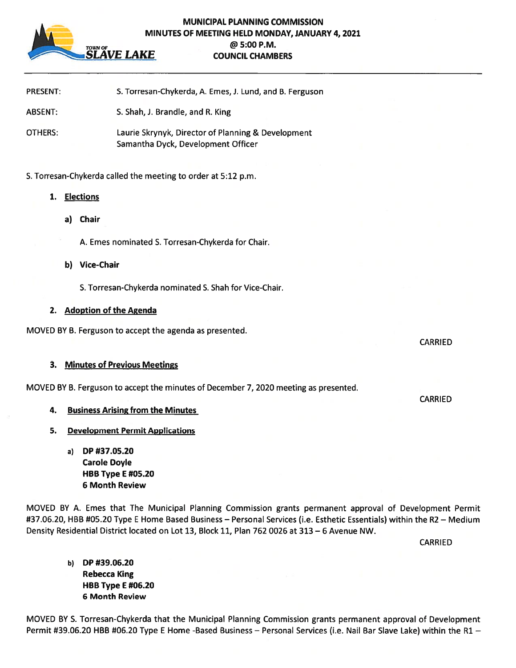

## MUNICIPAL PLANNING COMMISSION MINUTES OF MEETING HELD MONDAY, JANUARY 4, 2021 @ 5:00 P.M. TOWN OF THE COUNCIL CHAMBERS COUNCIL CHAMBERS

| <b>PRESENT:</b>                                               | S. Torresan-Chykerda, A. Emes, J. Lund, and B. Ferguson                                  |
|---------------------------------------------------------------|------------------------------------------------------------------------------------------|
| ABSENT:                                                       | S. Shah, J. Brandle, and R. King                                                         |
| OTHERS:                                                       | Laurie Skrynyk, Director of Planning & Development<br>Samantha Dyck, Development Officer |
| S. Torresan-Chykerda called the meeting to order at 5:12 p.m. |                                                                                          |
| 1.<br>Elections                                               |                                                                                          |

- 
- a) Chair
	- A. Emes nominated S. Torresan-Chykerda for Chair.
- b) Vice-Chair
	- S. Torresan-Chykerda nominated S. Shah for Vice-Chair.

## 2. Adoption of the Agenda

MOVED BY B. Ferguson to accep<sup>t</sup> the agenda as presented.

## 3. Minutes of Previous Meetings

MOVED BY B. Ferguson to accep<sup>t</sup> the minutes of December 7, 2020 meeting as presented.

- 4. Business Arising from the Minutes
- 5. Development Permit Applications
	- a) DP #37.05.20 **Carole Doyle** HBB Type E #05.20 6 Month Review

MOVED BY A. Emes that The Municipal Planning Commission grants permanen<sup>t</sup> approval of Development Permit #37.06.20, HBB #05.20 Type E Home Based Business — Personal Services (i.e. Esthetic Essentials) within the R2 — Medium Density Residential District located on Lot 13, Block 11, Plan 762 0026 at 313 — 6 Avenue NW.

CARRIED

b) DP #39.06.20 Rebecca King HBB Type E #06.20 6 Month Review

MOVED BY S. Torresan-Chykerda that the Municipal Planning Commission grants permanen<sup>t</sup> approval of Development Permit #39.06.20 HBB #06.20 Type E Home -Based Business - Personal Services (i.e. Nail Bar Slave Lake) within the R1 -

CARRIED

CARRIED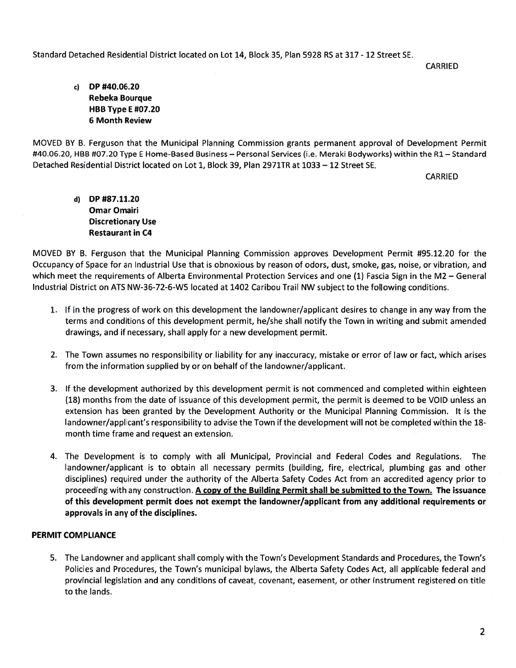Standard Detached Residential District located on Lot 14, Block 35, Plan 5928 RS at 317 -12 Street SE.

**CARRIED** 

c) DP #40.06.20 Rebeka Bourque **HBB Type E #07.20** 6 Month Review

MOVED BY B. Ferguson that the Municipal Planning Commission grants permanen<sup>t</sup> approval of Development Permit #40.06.20, HBB #07.20 Type E Home-Based Business — Personal Services (i.e. Meraki Bodyworks) within the Ri — Standard Detached Residential District located on Lot 1, Block 39, Plan 2971TR at 1033 — 12 Street SE.

CARRIED

d) DP #87.11.20 Omar Omair Discretionary Use Restaurant in C4

MOVED BY B. Ferguson that the Municipal Planning Commission approves Development Permit #95.12.20 for the Occupancy of Space for an Industrial Use that is obnoxious by reason of odors, dust, smoke, gas, noise, or vibration, and which meet the requirements of Alberta Environmental Protection Services and one (1) Fascia Sign in the M2 – Genera Industrial District on ATS NW-36-72-6-W5 located at 1402 Caribou Trail NW subject to the following conditions.

- 1. If in the progress of work on this development the landowner/applicant desires to change in any way from the terms and conditions of this development permit, he/she shall notify the Town in writing and submit amended drawings, and if necessary, shall apply for <sup>a</sup> new development permit.
- 2. The Town assumes no responsibility or liability for any inaccuracy, mistake or error of law or fact, which arises from the information supplied by or on behalf of the landowner/applicant.
- 3. If the development authorized by this development permit is not commenced and completed within eighteen (18) months from the date of issuance of this development permit, the permit is deemed to be VOID unless an extension has been granted by the Development Authority or the Municipal Planning Commission. It is the landowner/applicant's responsibility to advise the Town if the development will not be completed within the 18 month time frame and reques<sup>t</sup> an extension.
- 4. The Development is to comply with all Municipal, Provincial and Federal Codes and Regulations. The landowner/applicant is to obtain all necessary permits (building, fire, electrical, plumbing gas and other disciplines) required under the authority of the Alberta Safety Codes Act from an accredited agency prior to proceeding with any construction. A copy of the Building Permit shall be submitted to the Town. The issuance of this development permit does not exemp<sup>t</sup> the landowner/applicant from any additional requirements or approvals in any of the disciplines.

## PERMIT COMPLIANCE

5. The Landowner and applicant shall comply with the Town's Development Standards and Procedures, the Town's Policies and Procedures, the Town's municipal bylaws, the Alberta Safety Codes Act, all applicable federal and provincial legislation and any conditions of caveat, covenant, easement, or other instrument registered on title to the lands.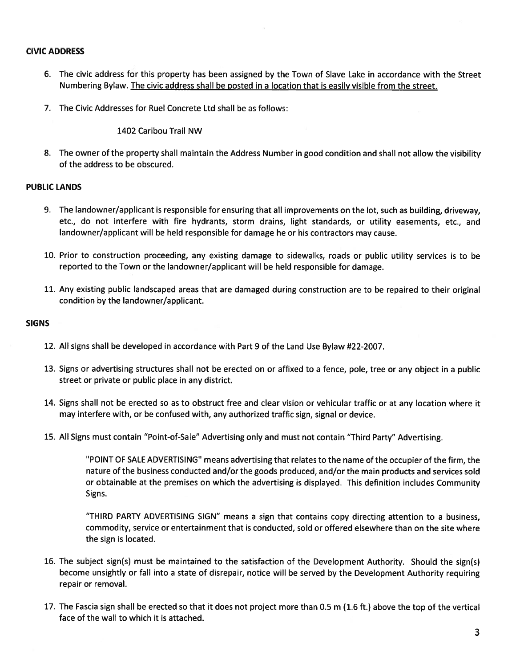## CIVIC ADDRESS

- 6. The civic address for this property has been assigned by the Town of Slave Lake in accordance with the Street Numbering Bylaw. The civic address shall be posted in <sup>a</sup> location that is easily visible from the street.
- 7. The Civic Addresses for Ruel Concrete Ltd shall be as follows:

1402 Caribou Trail NW

8. The owner of the property shall maintain the Address Number in good condition and shall not allow the visibility of the address to be obscured.

#### PUBLIC LANDS

- 9. The landowner/applicant is responsible for ensuring that all improvements on the lot, such as building, driveway, etc., do not interfere with fire hydrants, storm drains, light standards, or utility easements, etc., and landowner/applicant will be held responsible for damage he or his contractors may cause.
- 10. Prior to construction proceeding, any existing damage to sidewalks, roads or public utility services is to be reported to the Town or the landowner/applicant will be held responsible for damage.
- 11. Any existing public landscaped areas that are damaged during construction are to be repaired to their original condition by the landowner/applicant.

#### SIGNS

- 12. All signs shall be developed in accordance with Part 9 of the Land Use Bylaw #22-2007.
- 13. Signs or advertising structures shall not be erected on or affixed to <sup>a</sup> fence, pole, tree or any object in <sup>a</sup> public street or private or public place in any district.
- 14. Signs shall not be erected so as to obstruct free and clear vision or vehicular traffic or at any location where it may interfere with, or be confused with, any authorized traffic sign, signal or device.
- 15. All Signs must contain "Point-of-Sale" Advertising only and must not contain "Third Party" Advertising.

"POINT OF SALE ADVERTISING" means advertising that relates to the name of the occupier of the firm, the nature of the business conducted and/or the goods produced, and/or the main products and services sold or obtainable at the premises on which the advertising is displayed. This definition includes Community Signs.

"THIRD PARTY ADVERTISING SIGN" means <sup>a</sup> sign that contains copy directing attention to <sup>a</sup> business, commodity, service or entertainment that is conducted, sold or offered elsewhere than on the site where the sign is located.

- 16. The subject sign(s) must be maintained to the satisfaction of the Development Authority. Should the sign(s) become unsightly or fall into <sup>a</sup> state of disrepair, notice will be served by the Development Authority requiring repair or removal.
- 17. The Fascia sign shall be erected so that it does not project more than 0.5 <sup>m</sup> (1.6 ft.) above the top of the vertical face of the wall to which it is attached.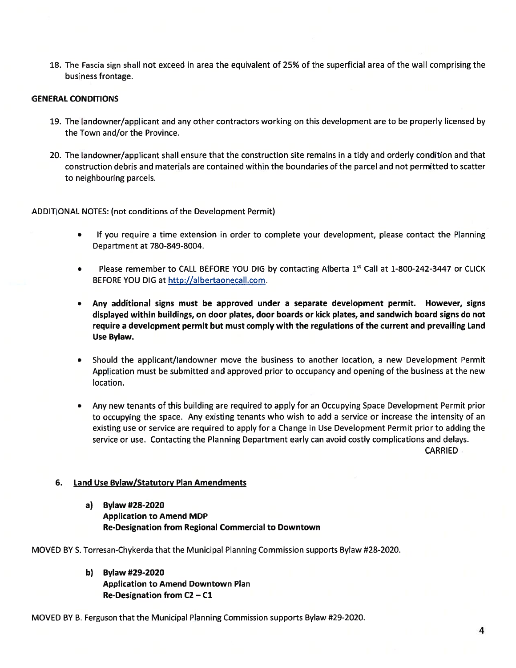18. The Fascia sign shall not exceed in area the equivalent of 25% of the superficial area of the wall comprising the business frontage.

## GENERAL CONDITIONS

- 19. The landowner/applicant and any other contractors working on this development are to be properly licensed by the Town and/or the Province.
- 20. The landowner/applicant shall ensure that the construction site remains in <sup>a</sup> tidy and orderly condition and that construction debris and materials are contained within the boundaries of the parcel and not permitted to scatter to neighbouring parcels.

#### ADDITIONAL NOTES: (not conditions of the Development Permit)

- • If you require <sup>a</sup> time extension in order to complete your development, please contact the Planning Department at 780-849-8004.
- • $\bullet$  Please remember to CALL BEFORE YOU DIG by contacting Alberta 1st Call at 1-800-242-3447 or CLICK BEFORE YOU DIG at http://albertaonecall.com.
- Any additional signs must be approved under <sup>a</sup> separate development permit. However, signs displayed within buildings, on door plates, door boards or kick plates, and sandwich board signs do not require <sup>a</sup> development permit but must comply with the regulations of the current and prevailing Land Use Bylaw.
- Should the applicant/landowner move the business to another location, <sup>a</sup> new Development Permit Application must be submitted and approved prior to occupancy and opening of the business at the new location.
- Any new tenants of this building are required to apply for an Occupying Space Development Permit prior to occupying the space. Any existing tenants who wish to add <sup>a</sup> service or increase the intensity of an existing use or service are required to apply for <sup>a</sup> Change in Use Development Permit prior to adding the service or use. Contacting the Planning Department early can avoid costly complications and delays.

CARRIED

#### 6, Land Use Bylaw/Statutory Plan Amendments

a) Bylaw #28-2020 Application to Amend MDP Re-Designation from Regional Commercial to Downtown

MOVED BY S. Torresan-Chykerda that the Municipal Planning Commission supports Bylaw #28-2020.

b) Bylaw #29-2020 Application to Amend Downtown Plan Re-Designation from C2 — Cl

MOVED BY B. Ferguson that the Municipal Planning Commission supports Bylaw #29-2020.